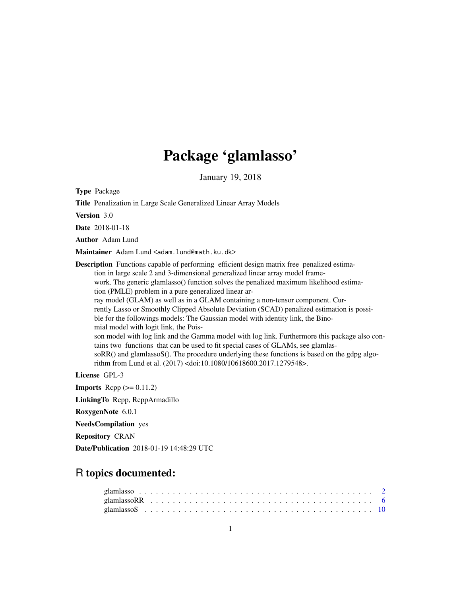# Package 'glamlasso'

January 19, 2018

Type Package

Title Penalization in Large Scale Generalized Linear Array Models

Version 3.0

Date 2018-01-18

Author Adam Lund

Maintainer Adam Lund <adam.lund@math.ku.dk>

Description Functions capable of performing efficient design matrix free penalized estimation in large scale 2 and 3-dimensional generalized linear array model framework. The generic glamlasso() function solves the penalized maximum likelihood estimation (PMLE) problem in a pure generalized linear array model (GLAM) as well as in a GLAM containing a non-tensor component. Currently Lasso or Smoothly Clipped Absolute Deviation (SCAD) penalized estimation is possible for the followings models: The Gaussian model with identity link, the Binomial model with logit link, the Poisson model with log link and the Gamma model with log link. Furthermore this package also contains two functions that can be used to fit special cases of GLAMs, see glamlassoRR() and glamlassoS(). The procedure underlying these functions is based on the gdpg algorithm from Lund et al. (2017) <doi:10.1080/10618600.2017.1279548>.

License GPL-3

**Imports** Rcpp  $(>= 0.11.2)$ 

LinkingTo Rcpp, RcppArmadillo

RoxygenNote 6.0.1

NeedsCompilation yes

Repository CRAN

Date/Publication 2018-01-19 14:48:29 UTC

# R topics documented: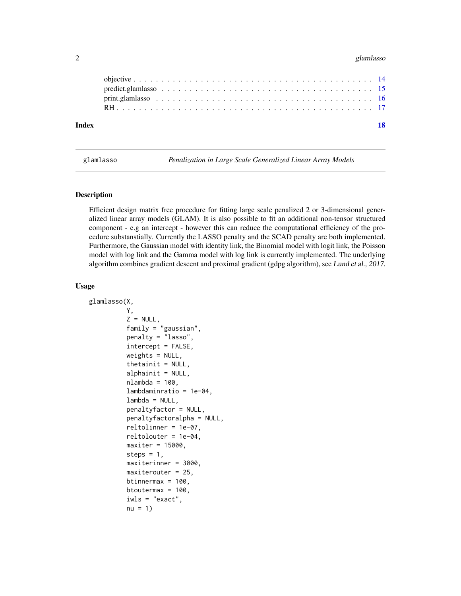#### <span id="page-1-0"></span>2 glamlasso

| Index |  |
|-------|--|
|       |  |
|       |  |
|       |  |
|       |  |

<span id="page-1-1"></span>glamlasso *Penalization in Large Scale Generalized Linear Array Models*

#### Description

Efficient design matrix free procedure for fitting large scale penalized 2 or 3-dimensional generalized linear array models (GLAM). It is also possible to fit an additional non-tensor structured component - e.g an intercept - however this can reduce the computational efficiency of the procedure substanstially. Currently the LASSO penalty and the SCAD penalty are both implemented. Furthermore, the Gaussian model with identity link, the Binomial model with logit link, the Poisson model with log link and the Gamma model with log link is currently implemented. The underlying algorithm combines gradient descent and proximal gradient (gdpg algorithm), see Lund et al., 2017.

#### Usage

```
glamlasso(X,
          Y,
          Z = NULL,family = "gaussian",
          penalty = "lasso",
          intercept = FALSE,
          weights = NULL,
          thetainit = NULL,
          alphainit = NULL,
          nlambda = 100,
          lambdaminratio = 1e-04,
          lambda = NULL,penaltyfactor = NULL,
          penaltyfactoralpha = NULL,
          reltolinner = 1e-07,
          reltolouter = 1e-04,
          maxiter = 15000,
          steps = 1,
          maxiterinner = 3000,
          maxiterouter = 25,
          btinnermax = 100,
          btoutermax = 100,
          iwls = "exact",
          nu = 1)
```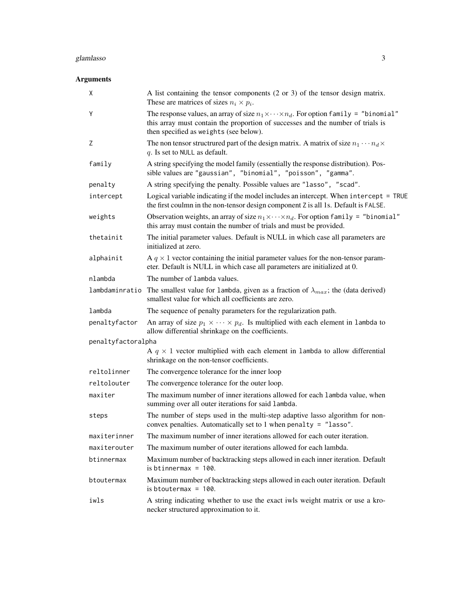#### glamlasso 3

# Arguments

| Χ                  | A list containing the tensor components $(2 \text{ or } 3)$ of the tensor design matrix.<br>These are matrices of sizes $n_i \times p_i$ .                                                                                         |
|--------------------|------------------------------------------------------------------------------------------------------------------------------------------------------------------------------------------------------------------------------------|
| Y                  | The response values, an array of size $n_1 \times \cdots \times n_d$ . For option family = "binomial"<br>this array must contain the proportion of successes and the number of trials is<br>then specified as weights (see below). |
| Ζ                  | The non tensor structrured part of the design matrix. A matrix of size $n_1 \cdots n_d \times$<br>$q$ . Is set to NULL as default.                                                                                                 |
| family             | A string specifying the model family (essentially the response distribution). Pos-<br>sible values are "gaussian", "binomial", "poisson", "gamma".                                                                                 |
| penalty            | A string specifying the penalty. Possible values are "lasso", "scad".                                                                                                                                                              |
| intercept          | Logical variable indicating if the model includes an intercept. When intercept = TRUE<br>the first coulmn in the non-tensor design component Z is all 1s. Default is FALSE.                                                        |
| weights            | Observation weights, an array of size $n_1 \times \cdots \times n_d$ . For option family = "binomial"<br>this array must contain the number of trials and must be provided.                                                        |
| thetainit          | The initial parameter values. Default is NULL in which case all parameters are<br>initialized at zero.                                                                                                                             |
| alphainit          | A $q \times 1$ vector containing the initial parameter values for the non-tensor param-<br>eter. Default is NULL in which case all parameters are initialized at 0.                                                                |
| nlambda            | The number of lambda values.                                                                                                                                                                                                       |
| lambdaminratio     | The smallest value for lambda, given as a fraction of $\lambda_{max}$ ; the (data derived)<br>smallest value for which all coefficients are zero.                                                                                  |
| lambda             | The sequence of penalty parameters for the regularization path.                                                                                                                                                                    |
| penaltyfactor      | An array of size $p_1 \times \cdots \times p_d$ . Is multiplied with each element in lambda to<br>allow differential shrinkage on the coefficients.                                                                                |
| penaltyfactoralpha |                                                                                                                                                                                                                                    |
|                    | A $q \times 1$ vector multiplied with each element in 1 ambda to allow differential<br>shrinkage on the non-tensor coefficients.                                                                                                   |
| reltolinner        | The convergence tolerance for the inner loop                                                                                                                                                                                       |
| reltolouter        | The convergence tolerance for the outer loop.                                                                                                                                                                                      |
| maxiter            | The maximum number of inner iterations allowed for each lambda value, when<br>summing over all outer iterations for said lambda.                                                                                                   |
| steps              | The number of steps used in the multi-step adaptive lasso algorithm for non-<br>convex penalties. Automatically set to 1 when penalty = "lasso".                                                                                   |
| maxiterinner       | The maximum number of inner iterations allowed for each outer iteration.                                                                                                                                                           |
| maxiterouter       | The maximum number of outer iterations allowed for each lambda.                                                                                                                                                                    |
| btinnermax         | Maximum number of backtracking steps allowed in each inner iteration. Default<br>is btinnermax = $100$ .                                                                                                                           |
| btoutermax         | Maximum number of backtracking steps allowed in each outer iteration. Default<br>is btoutermax = $100$ .                                                                                                                           |
| iwls               | A string indicating whether to use the exact iwls weight matrix or use a kro-<br>necker structured approximation to it.                                                                                                            |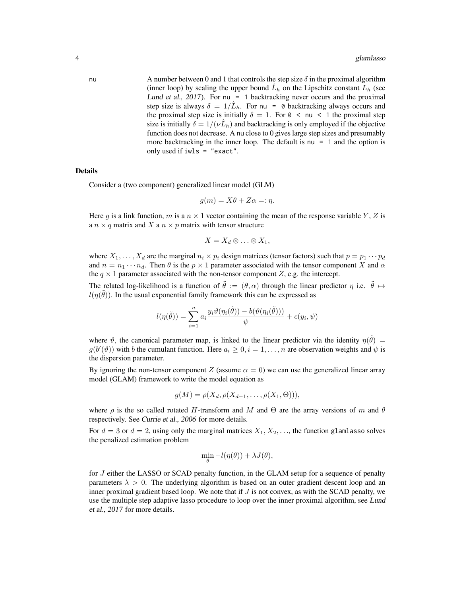nu A number between 0 and 1 that controls the step size  $\delta$  in the proximal algorithm (inner loop) by scaling the upper bound  $\hat{L}_h$  on the Lipschitz constant  $\hat{L}_h$  (see Lund et al.,  $2017$ ). For nu = 1 backtracking never occurs and the proximal step size is always  $\delta = 1/\hat{L}_h$ . For nu = 0 backtracking always occurs and the proximal step size is initially  $\delta = 1$ . For  $\theta \leq \pi \leq 1$  the proximal step size is initially  $\delta = 1/(\nu \hat{L}_h)$  and backtracking is only employed if the objective function does not decrease. A nu close to 0 gives large step sizes and presumably more backtracking in the inner loop. The default is nu  $= 1$  and the option is only used if iwls = "exact".

#### Details

Consider a (two component) generalized linear model (GLM)

$$
g(m) = X\theta + Z\alpha =: \eta.
$$

Here q is a link function, m is a  $n \times 1$  vector containing the mean of the response variable Y, Z is a  $n \times q$  matrix and X a  $n \times p$  matrix with tensor structure

$$
X=X_d\otimes\ldots\otimes X_1,
$$

where  $X_1, \ldots, X_d$  are the marginal  $n_i \times p_i$  design matrices (tensor factors) such that  $p = p_1 \cdots p_d$ and  $n = n_1 \cdots n_d$ . Then  $\theta$  is the  $p \times 1$  parameter associated with the tensor component X and  $\alpha$ the  $q \times 1$  parameter associated with the non-tensor component Z, e.g. the intercept.

The related log-likelihood is a function of  $\hat{\theta} := (\theta, \alpha)$  through the linear predictor  $\eta$  i.e.  $\hat{\theta} \mapsto$  $l(\eta(\tilde{\theta}))$ . In the usual exponential family framework this can be expressed as

$$
l(\eta(\tilde{\theta})) = \sum_{i=1}^n a_i \frac{y_i \vartheta(\eta_i(\tilde{\theta})) - b(\vartheta(\eta_i(\tilde{\theta})))}{\psi} + c(y_i, \psi)
$$

where  $\vartheta$ , the canonical parameter map, is linked to the linear predictor via the identity  $\eta(\tilde{\theta}) =$  $g(b'(\vartheta))$  with b the cumulant function. Here  $a_i \geq 0, i = 1, \ldots, n$  are observation weights and  $\psi$  is the dispersion parameter.

By ignoring the non-tensor component Z (assume  $\alpha = 0$ ) we can use the generalized linear array model (GLAM) framework to write the model equation as

$$
g(M) = \rho(X_d, \rho(X_{d-1}, \ldots, \rho(X_1, \Theta))),
$$

where  $\rho$  is the so called rotated H-transform and M and  $\Theta$  are the array versions of m and  $\theta$ respectively. See Currie et al., 2006 for more details.

For  $d = 3$  or  $d = 2$ , using only the marginal matrices  $X_1, X_2, \ldots$ , the function glamlasso solves the penalized estimation problem

$$
\min_{\theta} -l(\eta(\theta)) + \lambda J(\theta),
$$

for J either the LASSO or SCAD penalty function, in the GLAM setup for a sequence of penalty parameters  $\lambda > 0$ . The underlying algorithm is based on an outer gradient descent loop and an inner proximal gradient based loop. We note that if  $J$  is not convex, as with the SCAD penalty, we use the multiple step adaptive lasso procedure to loop over the inner proximal algorithm, see Lund et al., 2017 for more details.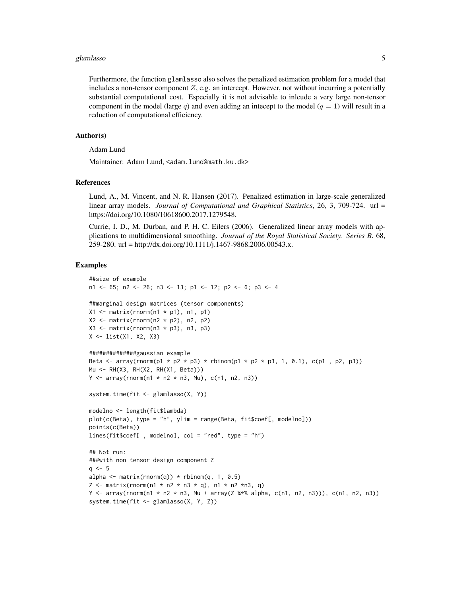#### glamlasso 55 and 55 and 55 and 55 and 55 and 55 and 55 and 55 and 55 and 55 and 55 and 55 and 55 and 55 and 55

Furthermore, the function glamlasso also solves the penalized estimation problem for a model that includes a non-tensor component  $Z$ , e.g. an intercept. However, not without incurring a potentially substantial computational cost. Especially it is not advisable to inlcude a very large non-tensor component in the model (large q) and even adding an intecept to the model  $(q = 1)$  will result in a reduction of computational efficiency.

#### Author(s)

Adam Lund

Maintainer: Adam Lund, <adam.lund@math.ku.dk>

#### References

Lund, A., M. Vincent, and N. R. Hansen (2017). Penalized estimation in large-scale generalized linear array models. *Journal of Computational and Graphical Statistics*, 26, 3, 709-724. url = https://doi.org/10.1080/10618600.2017.1279548.

Currie, I. D., M. Durban, and P. H. C. Eilers (2006). Generalized linear array models with applications to multidimensional smoothing. *Journal of the Royal Statistical Society. Series B*. 68, 259-280. url = http://dx.doi.org/10.1111/j.1467-9868.2006.00543.x.

```
##size of example
n1 <- 65; n2 <- 26; n3 <- 13; p1 <- 12; p2 <- 6; p3 <- 4
##marginal design matrices (tensor components)
X1 \leq - matrix(rnorm(n1 * p1), n1, p1)
X2 \le - matrix(rnorm(n2 * p2), n2, p2)
X3 \leq matrix(rnorm(n3 * p3), n3, p3)
X <- list(X1, X2, X3)
##############gaussian example
Beta \leq array(rnorm(p1 \star p2 \star p3) \star rbinom(p1 \star p2 \star p3, 1, 0.1), c(p1, p2, p3))
Mu <- RH(X3, RH(X2, RH(X1, Beta)))
Y \le -\arctan(\arctan( n1 * n2 * n3, Mu), c(n1, n2, n3))system.time(fit <- glamlasso(X, Y))
modelno <- length(fit$lambda)
plot(c(Beta), type = "h", ylim = range(Beta, fit$coef[, modelno]))
points(c(Beta))
lines(fit$coef[ , modelno], col = "red", type = "h")
## Not run:
###with non tensor design component Z
q \le -5alpha \leq matrix(rnorm(q)) \star rbinom(q, 1, 0.5)
Z \le matrix(rnorm(n1 * n2 * n3 * q), n1 * n2 *n3, q)
Y <- array(rnorm(n1 * n2 * n3, Mu + array(Z %*% alpha, c(n1, n2, n3))), c(n1, n2, n3))
system.time(fit <- glamlasso(X, Y, Z))
```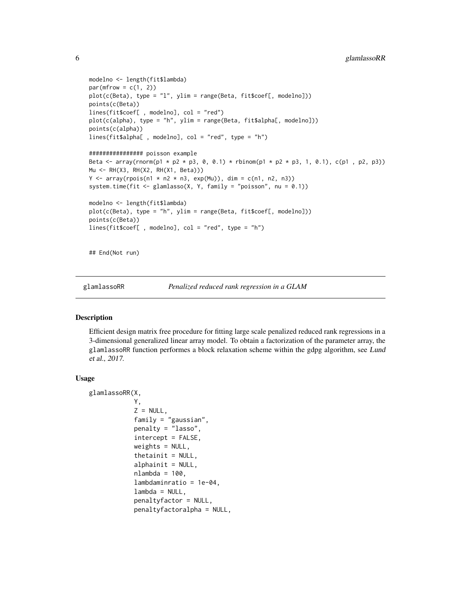```
modelno <- length(fit$lambda)
par(mfrow = c(1, 2))plot(c(Beta), type = "l", ylim = range(Beta, fit$coef[, modelno]))
points(c(Beta))
lines(fit$coef[ , modelno], col = "red")
plot(c(alpha), type = "h", ylim = range(Beta, fit$alpha[, modelno]))
points(c(alpha))
lines(fit$alpha[ , modelno], col = "red", type = "h")
################ poisson example
Beta <- array(rnorm(p1 * p2 * p3, 0, 0.1) * rbinom(p1 * p2 * p3, 1, 0.1), c(p1 , p2, p3))
Mu <- RH(X3, RH(X2, RH(X1, Beta)))
Y \le -\arctan(\text{rpois}(n1 * n2 * n3, \text{exp}(Mu)), \text{dim} = \text{c}(n1, n2, n3))system.time(fit <- glamlasso(X, Y, family = "poisson", nu = (0.1))
modelno <- length(fit$lambda)
plot(c(Beta), type = "h", ylim = range(Beta, fit$coef[, modelno]))
points(c(Beta))
lines(fit$coef[ , modelno], col = "red", type = "h")
## End(Not run)
```
glamlassoRR *Penalized reduced rank regression in a GLAM*

#### Description

Efficient design matrix free procedure for fitting large scale penalized reduced rank regressions in a 3-dimensional generalized linear array model. To obtain a factorization of the parameter array, the glamlassoRR function performes a block relaxation scheme within the gdpg algorithm, see Lund et al., 2017.

#### Usage

```
glamlassoRR(X,
            Y,
            Z = NULL,family = "gaussian",
            penalty = "lasso",
            intercept = FALSE,
            weights = NULL,thetainit = NULL,
            alphaint = NULL,nlambda = 100,
            lambdaminratio = 1e-04,
            lambda = NULL,penaltyfactor = NULL,
            penaltyfactoralpha = NULL,
```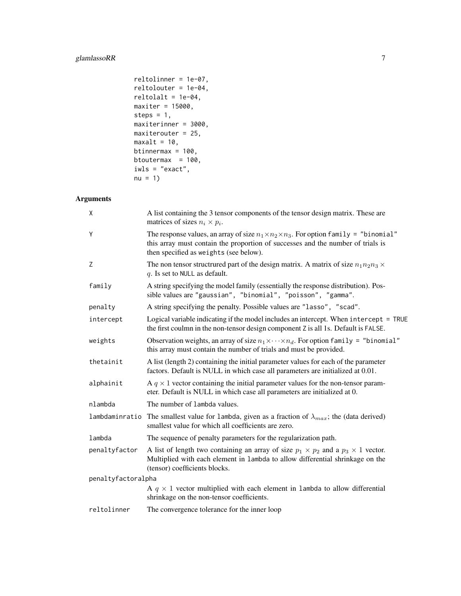## glamlassoRR 7

```
reltolinner = 1e-07,
reltolouter = 1e-04,
reltolalt = 1e-04,maxiter = 15000,
steps = 1,
maxiterinner = 3000,
maxiterouter = 25,
maxalt = 10,
btinnermax = 100,
btoutermax = 100,
iwls = "exact",
nu = 1
```
# Arguments

| X              | A list containing the 3 tensor components of the tensor design matrix. These are<br>matrices of sizes $n_i \times p_i$ .                                                                                                        |  |  |  |  |  |  |
|----------------|---------------------------------------------------------------------------------------------------------------------------------------------------------------------------------------------------------------------------------|--|--|--|--|--|--|
| Y              | The response values, an array of size $n_1 \times n_2 \times n_3$ . For option family = "binomial"<br>this array must contain the proportion of successes and the number of trials is<br>then specified as weights (see below). |  |  |  |  |  |  |
| Z              | The non tensor structrured part of the design matrix. A matrix of size $n_1 n_2 n_3 \times$<br>$q$ . Is set to NULL as default.                                                                                                 |  |  |  |  |  |  |
| family         | A string specifying the model family (essentially the response distribution). Pos-<br>sible values are "gaussian", "binomial", "poisson", "gamma".                                                                              |  |  |  |  |  |  |
| penalty        | A string specifying the penalty. Possible values are "lasso", "scad".                                                                                                                                                           |  |  |  |  |  |  |
| intercept      | Logical variable indicating if the model includes an intercept. When intercept = TRUE<br>the first coulmn in the non-tensor design component Z is all 1s. Default is FALSE.                                                     |  |  |  |  |  |  |
| weights        | Observation weights, an array of size $n_1 \times \cdots \times n_d$ . For option family = "binomial"<br>this array must contain the number of trials and must be provided.                                                     |  |  |  |  |  |  |
| thetainit      | A list (length 2) containing the initial parameter values for each of the parameter<br>factors. Default is NULL in which case all parameters are initialized at 0.01.                                                           |  |  |  |  |  |  |
| alphainit      | A $q \times 1$ vector containing the initial parameter values for the non-tensor param-<br>eter. Default is NULL in which case all parameters are initialized at 0.                                                             |  |  |  |  |  |  |
| nlambda        | The number of lambda values.                                                                                                                                                                                                    |  |  |  |  |  |  |
| lambdaminratio | The smallest value for lambda, given as a fraction of $\lambda_{max}$ ; the (data derived)<br>smallest value for which all coefficients are zero.                                                                               |  |  |  |  |  |  |
| lambda         | The sequence of penalty parameters for the regularization path.                                                                                                                                                                 |  |  |  |  |  |  |
| penaltyfactor  | A list of length two containing an array of size $p_1 \times p_2$ and a $p_3 \times 1$ vector.<br>Multiplied with each element in 1ambda to allow differential shrinkage on the<br>(tensor) coefficients blocks.                |  |  |  |  |  |  |
|                | penaltyfactoralpha                                                                                                                                                                                                              |  |  |  |  |  |  |
|                | A $q \times 1$ vector multiplied with each element in lambda to allow differential<br>shrinkage on the non-tensor coefficients.                                                                                                 |  |  |  |  |  |  |
| reltolinner    | The convergence tolerance for the inner loop                                                                                                                                                                                    |  |  |  |  |  |  |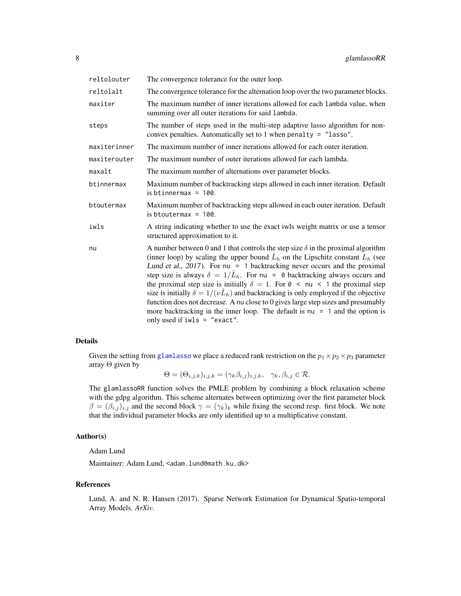<span id="page-7-0"></span>

| reltolouter  | The convergence tolerance for the outer loop.                                                                                                                                                                                                                                                                                                                                                                                                                                                                                                                                                                                                                                                                                                                                    |
|--------------|----------------------------------------------------------------------------------------------------------------------------------------------------------------------------------------------------------------------------------------------------------------------------------------------------------------------------------------------------------------------------------------------------------------------------------------------------------------------------------------------------------------------------------------------------------------------------------------------------------------------------------------------------------------------------------------------------------------------------------------------------------------------------------|
| reltolalt    | The convergence tolerance for the alternation loop over the two parameter blocks.                                                                                                                                                                                                                                                                                                                                                                                                                                                                                                                                                                                                                                                                                                |
| maxiter      | The maximum number of inner iterations allowed for each lambda value, when<br>summing over all outer iterations for said lambda.                                                                                                                                                                                                                                                                                                                                                                                                                                                                                                                                                                                                                                                 |
| steps        | The number of steps used in the multi-step adaptive lasso algorithm for non-<br>convex penalties. Automatically set to 1 when penalty = $"lasso".$                                                                                                                                                                                                                                                                                                                                                                                                                                                                                                                                                                                                                               |
| maxiterinner | The maximum number of inner iterations allowed for each outer iteration.                                                                                                                                                                                                                                                                                                                                                                                                                                                                                                                                                                                                                                                                                                         |
| maxiterouter | The maximum number of outer iterations allowed for each lambda.                                                                                                                                                                                                                                                                                                                                                                                                                                                                                                                                                                                                                                                                                                                  |
| maxalt       | The maximum number of alternations over parameter blocks.                                                                                                                                                                                                                                                                                                                                                                                                                                                                                                                                                                                                                                                                                                                        |
| btinnermax   | Maximum number of backtracking steps allowed in each inner iteration. Default<br>is btinnermax = $100$ .                                                                                                                                                                                                                                                                                                                                                                                                                                                                                                                                                                                                                                                                         |
| btoutermax   | Maximum number of backtracking steps allowed in each outer iteration. Default<br>is btoutermax = $100$ .                                                                                                                                                                                                                                                                                                                                                                                                                                                                                                                                                                                                                                                                         |
| iwls         | A string indicating whether to use the exact iwls weight matrix or use a tensor<br>structured approximation to it.                                                                                                                                                                                                                                                                                                                                                                                                                                                                                                                                                                                                                                                               |
| nu           | A number between 0 and 1 that controls the step size $\delta$ in the proximal algorithm<br>(inner loop) by scaling the upper bound $\hat{L}_h$ on the Lipschitz constant $L_h$ (see<br>Lund et al., $2017$ ). For nu = 1 backtracking never occurs and the proximal<br>step size is always $\delta = 1/\hat{L}_h$ . For nu = 0 backtracking always occurs and<br>the proximal step size is initially $\delta = 1$ . For $\theta \leq \pi \leq 1$ the proximal step<br>size is initially $\delta = 1/(\nu \hat{L}_h)$ and backtracking is only employed if the objective<br>function does not decrease. A nu close to 0 gives large step sizes and presumably<br>more backtracking in the inner loop. The default is $nu = 1$ and the option is<br>only used if $iwls = "exact".$ |

#### Details

Given the setting from [glamlasso](#page-1-1) we place a reduced rank restriction on the  $p_1 \times p_2 \times p_3$  parameter array Θ given by

$$
\Theta = (\Theta_{i,j,k})_{i,j,k} = (\gamma_k \beta_{i,j})_{i,j,k}, \quad \gamma_k, \beta_{i,j} \in \mathcal{R}.
$$

The glamlassoRR function solves the PMLE problem by combining a block relaxation scheme with the gdpg algorithm. This scheme alternates between optimizing over the first parameter block  $\beta = (\beta_{i,j})_{i,j}$  and the second block  $\gamma = (\gamma_k)_k$  while fixing the second resp. first block. We note that the individual parameter blocks are only identified up to a multiplicative constant.

#### Author(s)

Adam Lund

Maintainer: Adam Lund, <adam.lund@math.ku.dk>

### References

Lund, A. and N. R. Hansen (2017). Sparse Network Estimation for Dynamical Spatio-temporal Array Models. *ArXiv*.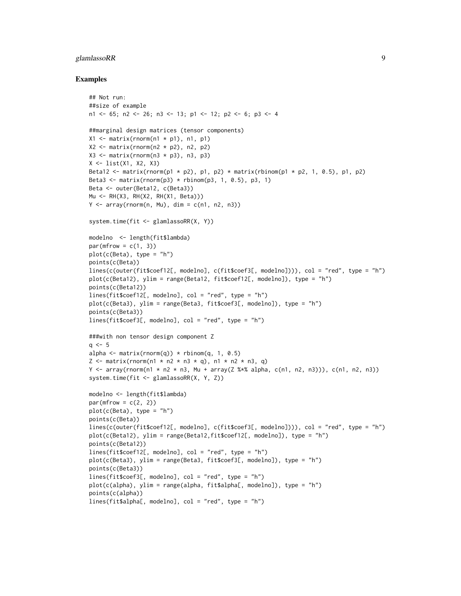#### glamlassoRR 9

```
## Not run:
##size of example
n1 <- 65; n2 <- 26; n3 <- 13; p1 <- 12; p2 <- 6; p3 <- 4
##marginal design matrices (tensor components)
X1 \leq matrix(rnorm(n1 * p1), n1, p1)
X2 \leq - matrix(rnorm(n2 * p2), n2, p2)
X3 \leq - matrix(rnorm(n3 * p3), n3, p3)
X <- list(X1, X2, X3)
Beta12 <- matrix(rnorm(p1 * p2), p1, p2) * matrix(rbinom(p1 * p2, 1, 0.5), p1, p2)
Beta3 \leq matrix(rnorm(p3) \star rbinom(p3, 1, 0.5), p3, 1)
Beta <- outer(Beta12, c(Beta3))
Mu <- RH(X3, RH(X2, RH(X1, Beta)))
Y \le -array(rnorm(n, Mu), dim = c(n1, n2, n3))system.time(fit <- glamlassoRR(X, Y))
modelno <- length(fit$lambda)
par(mfrow = c(1, 3))plot(c(Beta), type = "h")points(c(Beta))
lines(c(outer(fit$coef12[, modelno], c(fit$coef3[, modelno]))), col = "red", type = "h")
plot(c(Beta12), ylim = range(Beta12, fit$coef12[, modelno]), type = "h")
points(c(Beta12))
lines(fit$coef12[, modelno], col = "red", type = "h")
plot(c(Beta3), ylim = range(Beta3, fit$coef3[, modelno]), type = "h")
points(c(Beta3))
lines(fit$coef3[, modelno], col = "red", type = "h")
###with non tensor design component Z
q \le -5alpha \leq matrix(rnorm(q)) \star rbinom(q, 1, 0.5)
Z \le - matrix(rnorm(n1 * n2 * n3 * q), n1 * n2 * n3, q)
Y \leq -\arctan(\text{rnorm}(n1 \times n2 \times n3, \text{Mu} + \arctan(2 \frac{3 \times n2}{n2n} \cdot n1), \text{r2}, \text{m3})), c(n1, n2, n3)system.time(fit <- glamlassoRR(X, Y, Z))
modelno <- length(fit$lambda)
par(mfrow = c(2, 2))plot(c(Beta), type = "h")points(c(Beta))
lines(c(outer(fit$coef12[, modelno], c(fit$coef3[, modelno]))), col = "red", type = "h")
plot(c(Beta12), ylim = range(Beta12,fit$coef12[, modelno]), type = "h")
points(c(Beta12))
lines(fit$coef12[, modelno], col = "red", type = "h")
plot(c(Beta3), ylim = range(Beta3, fit$coef3[, modelno]), type = "h")
points(c(Beta3))
lines(fit$coef3[, modelno], col = "red", type = "h")
plot(c(alpha), ylim = range(alpha, fit$alpha[, modelno]), type = "h")
points(c(alpha))
lines(fit$alpha[, modelno], col = "red", type = "h")
```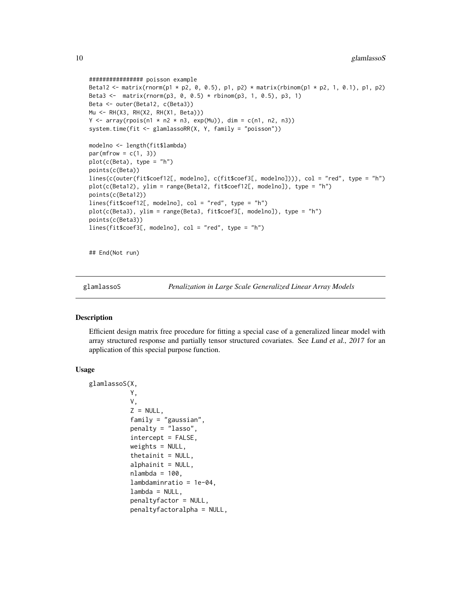```
################ poisson example
Beta12 <- matrix(rnorm(p1 * p2, 0, 0.5), p1, p2) * matrix(rbinom(p1 * p2, 1, 0.1), p1, p2)
Beta3 <- matrix(rnorm(p3, 0, 0.5) * rbinom(p3, 1, 0.5), p3, 1)
Beta <- outer(Beta12, c(Beta3))
Mu <- RH(X3, RH(X2, RH(X1, Beta)))
Y \le -\arctan(\text{rpois}(n1 * n2 * n3, \text{exp}(Mu)), \text{dim} = \text{c}(n1, n2, n3))system.time(fit <- glamlassoRR(X, Y, family = "poisson"))
modelno <- length(fit$lambda)
par(mfrow = c(1, 3))plot(c(Beta), type = "h")
points(c(Beta))
lines(c(outer(fit$coef12[, modelno], c(fit$coef3[, modelno]))), col = "red", type = "h")
plot(c(Beta12), ylim = range(Beta12, fit$coef12[, modelno]), type = "h")
points(c(Beta12))
lines(fit$coef12[, modelno], col = "red", type = "h")
plot(c(Beta3), ylim = range(Beta3, fit$coef3[, modelno]), type = "h")
points(c(Beta3))
lines(fit$coef3[, modelno], col = "red", type = "h")
```
## End(Not run)

glamlassoS *Penalization in Large Scale Generalized Linear Array Models*

#### Description

Efficient design matrix free procedure for fitting a special case of a generalized linear model with array structured response and partially tensor structured covariates. See Lund et al., 2017 for an application of this special purpose function.

#### Usage

```
glamlassoS(X,
           Y,
           V,
           Z = NULL,family = "gaussian",
           penalty = "lasso",
           intercept = FALSE,
           weights = NULL,thetainit = NULL,
           alphainit = NULL,
           nlambda = 100,
           lambdaminratio = 1e-04,
           lambda = NULL,penaltyfactor = NULL,
           penaltyfactoralpha = NULL,
```
<span id="page-9-0"></span>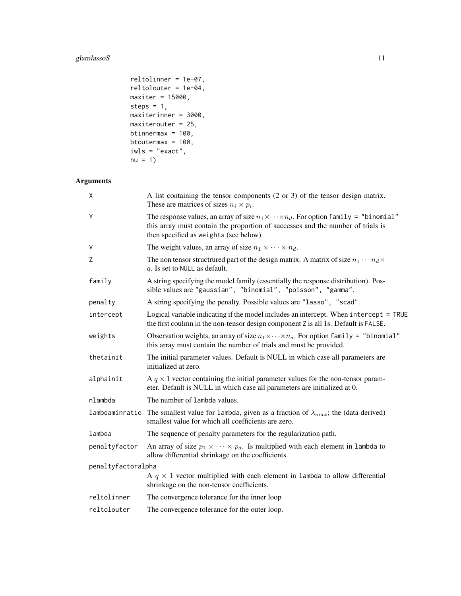# glamlassoS 11

```
reltolinner = 1e-07,
reltolouter = 1e-04,
maxiter = 15000,
steps = 1,
maxiterinner = 3000,
maxiterouter = 25,
btinnermax = 100,
btoutermax = 100,
iwls = "exact",
nu = 1
```
# Arguments

| X                  | A list containing the tensor components $(2 \text{ or } 3)$ of the tensor design matrix.<br>These are matrices of sizes $n_i \times p_i$ .                                                                                         |
|--------------------|------------------------------------------------------------------------------------------------------------------------------------------------------------------------------------------------------------------------------------|
| Y                  | The response values, an array of size $n_1 \times \cdots \times n_d$ . For option family = "binomial"<br>this array must contain the proportion of successes and the number of trials is<br>then specified as weights (see below). |
| V                  | The weight values, an array of size $n_1 \times \cdots \times n_d$ .                                                                                                                                                               |
| Z                  | The non tensor structrured part of the design matrix. A matrix of size $n_1 \cdots n_d \times$<br>$q$ . Is set to NULL as default.                                                                                                 |
| family             | A string specifying the model family (essentially the response distribution). Pos-<br>sible values are "gaussian", "binomial", "poisson", "gamma".                                                                                 |
| penalty            | A string specifying the penalty. Possible values are "lasso", "scad".                                                                                                                                                              |
| intercept          | Logical variable indicating if the model includes an intercept. When intercept = TRUE<br>the first coulmn in the non-tensor design component Z is all 1s. Default is FALSE.                                                        |
| weights            | Observation weights, an array of size $n_1 \times \cdots \times n_d$ . For option family = "binomial"<br>this array must contain the number of trials and must be provided.                                                        |
| thetainit          | The initial parameter values. Default is NULL in which case all parameters are<br>initialized at zero.                                                                                                                             |
| alphainit          | A $q \times 1$ vector containing the initial parameter values for the non-tensor param-<br>eter. Default is NULL in which case all parameters are initialized at 0.                                                                |
| nlambda            | The number of lambda values.                                                                                                                                                                                                       |
|                    | lambdaminratio The smallest value for lambda, given as a fraction of $\lambda_{max}$ ; the (data derived)<br>smallest value for which all coefficients are zero.                                                                   |
| lambda             | The sequence of penalty parameters for the regularization path.                                                                                                                                                                    |
| penaltyfactor      | An array of size $p_1 \times \cdots \times p_d$ . Is multiplied with each element in lambda to<br>allow differential shrinkage on the coefficients.                                                                                |
| penaltyfactoralpha |                                                                                                                                                                                                                                    |
|                    | A $q \times 1$ vector multiplied with each element in 1 ambda to allow differential<br>shrinkage on the non-tensor coefficients.                                                                                                   |
| reltolinner        | The convergence tolerance for the inner loop                                                                                                                                                                                       |
| reltolouter        | The convergence tolerance for the outer loop.                                                                                                                                                                                      |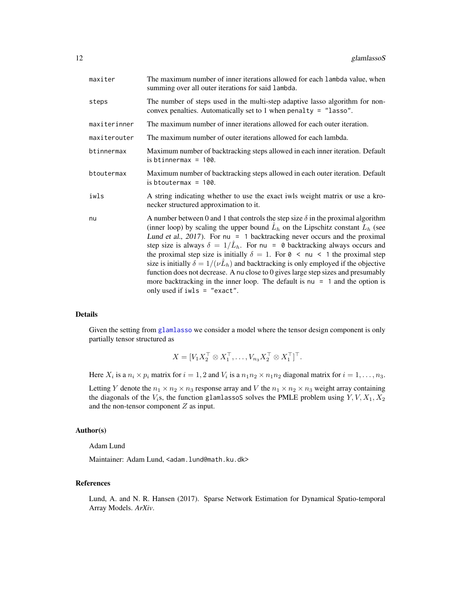<span id="page-11-0"></span>

| maxiter      | The maximum number of inner iterations allowed for each lambda value, when<br>summing over all outer iterations for said lambda.                                                                                                                                                                                                                                                                                                                                                                                                                                                                                                                                                                                                                                                |
|--------------|---------------------------------------------------------------------------------------------------------------------------------------------------------------------------------------------------------------------------------------------------------------------------------------------------------------------------------------------------------------------------------------------------------------------------------------------------------------------------------------------------------------------------------------------------------------------------------------------------------------------------------------------------------------------------------------------------------------------------------------------------------------------------------|
| steps        | The number of steps used in the multi-step adaptive lasso algorithm for non-<br>convex penalties. Automatically set to 1 when penalty = $"lasso".$                                                                                                                                                                                                                                                                                                                                                                                                                                                                                                                                                                                                                              |
| maxiterinner | The maximum number of inner iterations allowed for each outer iteration.                                                                                                                                                                                                                                                                                                                                                                                                                                                                                                                                                                                                                                                                                                        |
| maxiterouter | The maximum number of outer iterations allowed for each lambda.                                                                                                                                                                                                                                                                                                                                                                                                                                                                                                                                                                                                                                                                                                                 |
| btinnermax   | Maximum number of backtracking steps allowed in each inner iteration. Default<br>is btinnermax = $100$ .                                                                                                                                                                                                                                                                                                                                                                                                                                                                                                                                                                                                                                                                        |
| btoutermax   | Maximum number of backtracking steps allowed in each outer iteration. Default<br>is btoutermax = $100$ .                                                                                                                                                                                                                                                                                                                                                                                                                                                                                                                                                                                                                                                                        |
| iwls         | A string indicating whether to use the exact iwls weight matrix or use a kro-<br>necker structured approximation to it.                                                                                                                                                                                                                                                                                                                                                                                                                                                                                                                                                                                                                                                         |
| nu           | A number between 0 and 1 that controls the step size $\delta$ in the proximal algorithm<br>(inner loop) by scaling the upper bound $\hat{L}_h$ on the Lipschitz constant $L_h$ (see<br>Lund et al., $2017$ ). For nu = 1 backtracking never occurs and the proximal<br>step size is always $\delta = 1/\hat{L}_h$ . For nu = 0 backtracking always occurs and<br>the proximal step size is initially $\delta = 1$ . For $\theta < \pi$ $\leq 1$ the proximal step<br>size is initially $\delta = 1/(\nu \hat{L}_h)$ and backtracking is only employed if the objective<br>function does not decrease. A nu close to 0 gives large step sizes and presumably<br>more backtracking in the inner loop. The default is $nu = 1$ and the option is<br>only used if $iwls = "exact".$ |

#### Details

Given the setting from [glamlasso](#page-1-1) we consider a model where the tensor design component is only partially tensor structured as

$$
X = [V_1 X_2^\top \otimes X_1^\top, \dots, V_{n_3} X_2^\top \otimes X_1^\top]^\top.
$$

Here  $X_i$  is a  $n_i \times p_i$  matrix for  $i = 1, 2$  and  $V_i$  is a  $n_1 n_2 \times n_1 n_2$  diagonal matrix for  $i = 1, \ldots, n_3$ .

Letting Y denote the  $n_1 \times n_2 \times n_3$  response array and V the  $n_1 \times n_2 \times n_3$  weight array containing the diagonals of the  $V_i$ s, the function glamlassoS solves the PMLE problem using  $Y, V, X_1, X_2$ and the non-tensor component  $Z$  as input.

#### Author(s)

Adam Lund

Maintainer: Adam Lund, <adam.lund@math.ku.dk>

#### References

Lund, A. and N. R. Hansen (2017). Sparse Network Estimation for Dynamical Spatio-temporal Array Models. *ArXiv*.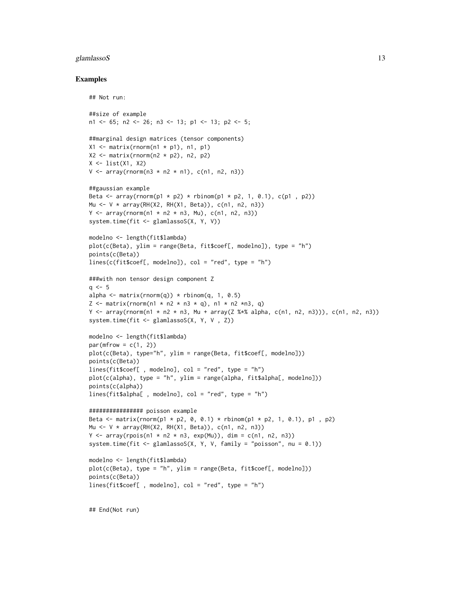#### glamlasso $S$  13

#### Examples

```
## Not run:
```

```
##size of example
n1 <- 65; n2 <- 26; n3 <- 13; p1 <- 13; p2 <- 5;
##marginal design matrices (tensor components)
X1 \leq - matrix(rnorm(n1 * p1), n1, p1)
X2 \le matrix(rnorm(n2 * p2), n2, p2)
X \leftarrow list(X1, X2)V \leq -\arctan(\arctan(\frac{\pi}{3} + \pi^2 + \pi^2), \text{ } c(\pi^2, \pi^2))##gaussian example
Beta \leq array(rnorm(p1 \neq p2) \neq rbinom(p1 \neq p2, 1, 0.1), c(p1, p2))
Mu <- V * array(RH(X2, RH(X1, Beta)), c(n1, n2, n3))
Y \le -\arctan(\text{rnorm}(n1 * n2 * n3, Mu), c(n1, n2, n3))system.time(fit <- glamlassoS(X, Y, V))
modelno <- length(fit$lambda)
plot(c(Beta), ylim = range(Beta, fit$coef[, modelno]), type = "h")
points(c(Beta))
lines(c(fit$seef[, modelno]), col = "red", type = "h")###with non tensor design component Z
q \le -5alpha \leq matrix(rnorm(q)) \star rbinom(q, 1, 0.5)
Z \le matrix(rnorm(n1 * n2 * n3 * q), n1 * n2 *n3, q)
Y \leq array(rnorm(n1 \neq n2 \neq n3, Mu + array(Z %\neq alpha, c(n1, n2, n3))), c(n1, n2, n3))
system.time(fit <- glamlassoS(X, Y, V , Z))
modelno <- length(fit$lambda)
par(mfrow = c(1, 2))plot(c(Beta), type="h", ylim = range(Beta, fit$coef[, modelno]))
points(c(Beta))
lines(fit$coef[ , modelno], col = "red", type = "h")
plot(c(alpha), type = "h", ylim = range(alpha, fit$alpha[, modelno]))
points(c(alpha))
lines(fit$alpha[ , modelno], col = "red", type = "h")
################ poisson example
Beta \le matrix(rnorm(p1 \neq p2, 0, 0.1) \neq rbinom(p1 \neq p2, 1, 0.1), p1, p2)
Mu <- V * array(RH(X2, RH(X1, Beta)), c(n1, n2, n3))
Y \le -\arctan(\text{rpois}(n1 * n2 * n3, \text{exp}(Mu)), \text{dim} = \text{c}(n1, n2, n3))system.time(fit <- glamlassoS(X, Y, V, family = "poisson", nu = 0.1))
modelno <- length(fit$lambda)
plot(c(Beta), type = "h", ylim = range(Beta, fit$coef[, modelno]))
points(c(Beta))
lines(fit$coef[ , modelno], col = "red", type = "h")
```
## End(Not run)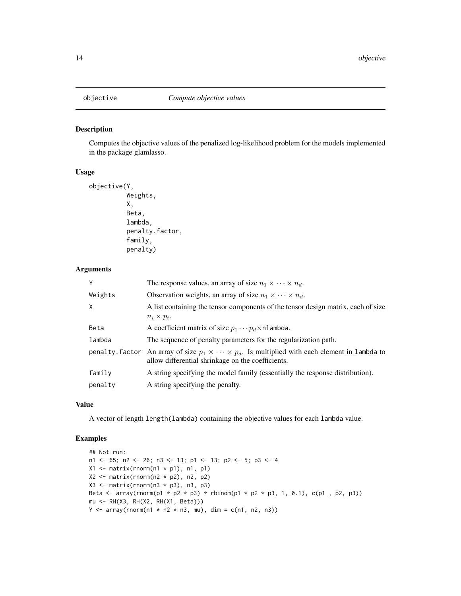<span id="page-13-0"></span>

#### Description

Computes the objective values of the penalized log-likelihood problem for the models implemented in the package glamlasso.

#### Usage

```
objective(Y,
          Weights,
          X,
          Beta,
          lambda,
          penalty.factor,
          family,
          penalty)
```
#### Arguments

| Y              | The response values, an array of size $n_1 \times \cdots \times n_d$ .                                                                              |
|----------------|-----------------------------------------------------------------------------------------------------------------------------------------------------|
| Weights        | Observation weights, an array of size $n_1 \times \cdots \times n_d$ .                                                                              |
| $\times$       | A list containing the tensor components of the tensor design matrix, each of size                                                                   |
|                | $n_i \times p_i$ .                                                                                                                                  |
| Beta           | A coefficient matrix of size $p_1 \cdots p_d \times n$ lambda.                                                                                      |
| lambda         | The sequence of penalty parameters for the regularization path.                                                                                     |
| penalty.factor | An array of size $p_1 \times \cdots \times p_d$ . Is multiplied with each element in lambda to<br>allow differential shrinkage on the coefficients. |
| family         | A string specifying the model family (essentially the response distribution).                                                                       |
| penalty        | A string specifying the penalty.                                                                                                                    |

#### Value

A vector of length length(lambda) containing the objective values for each lambda value.

```
## Not run:
n1 <- 65; n2 <- 26; n3 <- 13; p1 <- 13; p2 <- 5; p3 <- 4
X1 \leftarrow matrix(rnorm(n1 * p1), n1, p1)X2 \le - matrix(rnorm(n2 * p2), n2, p2)
X3 \leftarrow matrix(rnorm(n3 * p3), n3, p3)Beta \leq array(rnorm(p1 * p2 * p3) * rbinom(p1 * p2 * p3, 1, 0.1), c(p1, p2, p3))
mu <- RH(X3, RH(X2, RH(X1, Beta)))
Y \le -\arctan(\text{rnorm}(n1 \times n2 \times n3, \text{mu}), \text{dim} = \text{c}(n1, n2, n3))
```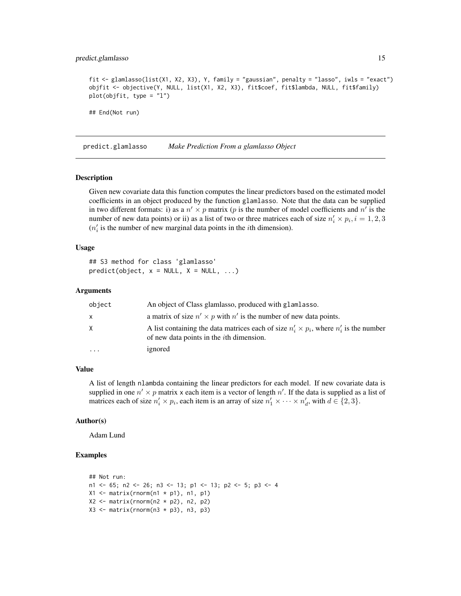#### <span id="page-14-0"></span>predict.glamlasso 15

```
fit <- glamlasso(list(X1, X2, X3), Y, family = "gaussian", penalty = "lasso", iwls = "exact")
objfit <- objective(Y, NULL, list(X1, X2, X3), fit$coef, fit$lambda, NULL, fit$family)
plot(objfit, type = "l")
## End(Not run)
```
predict.glamlasso *Make Prediction From a glamlasso Object*

#### **Description**

Given new covariate data this function computes the linear predictors based on the estimated model coefficients in an object produced by the function glamlasso. Note that the data can be supplied in two different formats: i) as a  $n' \times p$  matrix (p is the number of model coefficients and n' is the number of new data points) or ii) as a list of two or three matrices each of size  $n'_i \times p_i$ ,  $i = 1, 2, 3$  $(n'_i)$  is the number of new marginal data points in the *i*th dimension).

#### Usage

## S3 method for class 'glamlasso'  $predict(object, x = NULL, X = NULL, ...)$ 

#### Arguments

| object    | An object of Class glamlasso, produced with glamlasso.                                                                                              |
|-----------|-----------------------------------------------------------------------------------------------------------------------------------------------------|
| x         | a matrix of size $n' \times p$ with n' is the number of new data points.                                                                            |
| X.        | A list containing the data matrices each of size $n'_i \times p_i$ , where $n'_i$ is the number<br>of new data points in the <i>i</i> th dimension. |
| $\ddotsc$ | ignored                                                                                                                                             |

#### Value

A list of length nlambda containing the linear predictors for each model. If new covariate data is supplied in one  $n' \times p$  matrix x each item is a vector of length  $n'$ . If the data is supplied as a list of matrices each of size  $n'_i \times p_i$ , each item is an array of size  $n'_1 \times \cdots \times n'_d$ , with  $d \in \{2,3\}$ .

#### Author(s)

Adam Lund

```
## Not run:
n1 <- 65; n2 <- 26; n3 <- 13; p1 <- 13; p2 <- 5; p3 <- 4
X1 \leftarrow matrix(rnorm(n1 * p1), n1, p1)X2 \le - matrix(rnorm(n2 * p2), n2, p2)
X3 \leq - matrix(rnorm(n3 * p3), n3, p3)
```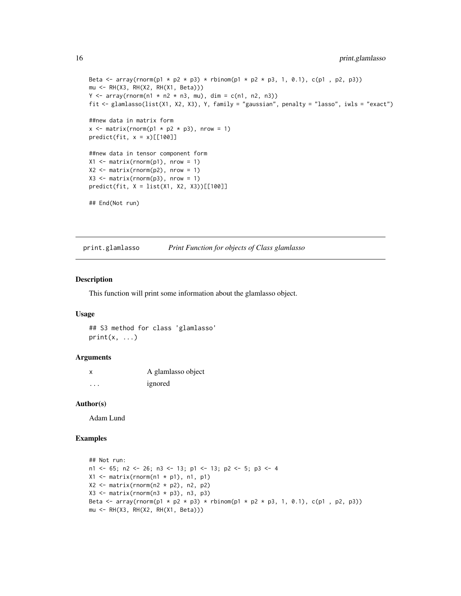```
Beta \leq array(rnorm(p1 \neq p2 \neq p3) \neq rbinom(p1 \neq p2 \neq p3, 1, 0.1), c(p1, p2, p3))
mu <- RH(X3, RH(X2, RH(X1, Beta)))
Y \le -\arctan(\text{rnorm}(n1 \times n2 \times n3, \text{mu}), \text{dim} = \text{c}(n1, n2, n3))fit <- glamlasso(list(X1, X2, X3), Y, family = "gaussian", penalty = "lasso", iwls = "exact")
##new data in matrix form
x \le matrix(rnorm(p1 * p2 * p3), nrow = 1)
predict(fit, x = x)[[100]]##new data in tensor component form
X1 \leq matrix(rnorm(p1), nrow = 1)
X2 \leq - matrix(rnorm(p2), nrow = 1)
X3 \leq matrix(rnorm(p3), nrow = 1)
predict(fit, X = list(X1, X2, X3))[[100]]
## End(Not run)
```
print.glamlasso *Print Function for objects of Class glamlasso*

#### Description

This function will print some information about the glamlasso object.

#### Usage

## S3 method for class 'glamlasso'  $print(x, \ldots)$ 

#### **Arguments**

|   | A glamlasso object |
|---|--------------------|
| . | ignored            |

#### Author(s)

Adam Lund

```
## Not run:
n1 <- 65; n2 <- 26; n3 <- 13; p1 <- 13; p2 <- 5; p3 <- 4
X1 \leftarrow matrix(rnorm(n1 * p1), n1, p1)X2 \le - matrix(rnorm(n2 * p2), n2, p2)
X3 \leftarrow matrix(rnorm(n3 * p3), n3, p3)Beta <- array(rnorm(p1 * p2 * p3) * rbinom(p1 * p2 * p3, 1, 0.1), c(p1, p2, p3))
mu <- RH(X3, RH(X2, RH(X1, Beta)))
```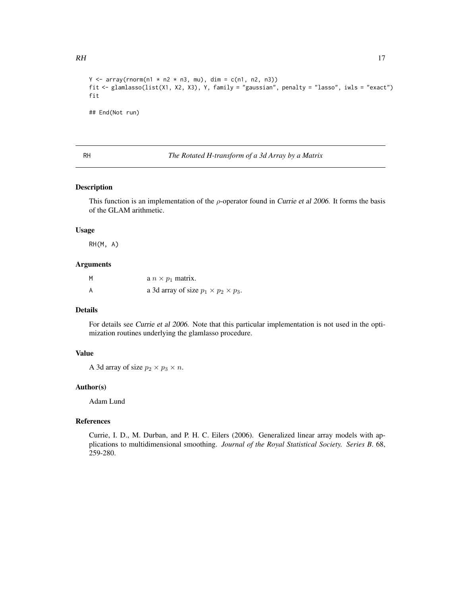```
Y \le -\arctan(\text{rnorm}(n1 * n2 * n3, mu), \text{dim} = \text{c}(n1, n2, n3))fit <- glamlasso(list(X1, X2, X3), Y, family = "gaussian", penalty = "lasso", iwls = "exact")
fit
## End(Not run)
```
#### RH *The Rotated H-transform of a 3d Array by a Matrix*

#### Description

This function is an implementation of the  $\rho$ -operator found in Currie et al 2006. It forms the basis of the GLAM arithmetic.

#### Usage

RH(M, A)

#### Arguments

| M | a $n \times p_1$ matrix.                         |
|---|--------------------------------------------------|
| A | a 3d array of size $p_1 \times p_2 \times p_3$ . |

#### Details

For details see Currie et al 2006. Note that this particular implementation is not used in the optimization routines underlying the glamlasso procedure.

### Value

A 3d array of size  $p_2 \times p_3 \times n$ .

#### Author(s)

Adam Lund

#### References

Currie, I. D., M. Durban, and P. H. C. Eilers (2006). Generalized linear array models with applications to multidimensional smoothing. *Journal of the Royal Statistical Society. Series B*. 68, 259-280.